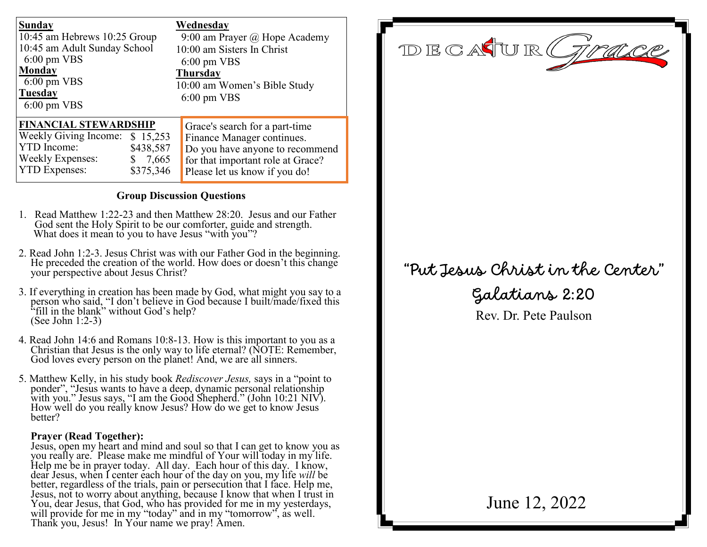| <b>Sunday</b><br>10:45 am Hebrews 10:25 Group<br>10:45 am Adult Sunday School<br>$6:00 \text{ pm } VBS$<br><b>Monday</b><br>$6:00 \text{ pm } VBS$<br>Tuesday<br>$6:00 \text{ pm } VBS$   | Wednesday<br>9:00 am Prayer $\omega$ Hope Academy<br>10:00 am Sisters In Christ<br>$6:00 \text{ pm } VBS$<br><b>Thursday</b><br>10:00 am Women's Bible Study<br>$6:00 \text{ pm } VBS$ |
|-------------------------------------------------------------------------------------------------------------------------------------------------------------------------------------------|----------------------------------------------------------------------------------------------------------------------------------------------------------------------------------------|
| <b>FINANCIAL STEWARDSHIP</b><br><b>Weekly Giving Income:</b><br>\$15,253<br><b>YTD</b> Income:<br>\$438,587<br><b>Weekly Expenses:</b><br>7,665<br>S<br><b>YTD Expenses:</b><br>\$375,346 | Grace's search for a part-time<br>Finance Manager continues.<br>Do you have anyone to recommend<br>for that important role at Grace?<br>Please let us know if you do!                  |

### **Group Discussion Questions**

- 1. Read Matthew 1:22-23 and then Matthew 28:20. Jesus and our Father God sent the Holy Spirit to be our comforter, guide and strength. What does it mean to you to have Jesus "with you"?
- 2. Read John 1:2-3. Jesus Christ was with our Father God in the beginning. He preceded the creation of the world. How does or doesn't this change your perspective about Jesus Christ?
- 3. If everything in creation has been made by God, what might you say to a person who said, "I don't believe in God because I built/made/fixed this "fill in the blank" without God's help? (See John 1:2-3)
- 4. Read John 14:6 and Romans 10:8-13. How is this important to you as a Christian that Jesus is the only way to life eternal? (NOTE: Remember, God loves every person on the planet! And, we are all sinners.
- 5. Matthew Kelly, in his study book *Rediscover Jesus,* says in a "point to ponder", "Jesus wants to have a deep, dynamic personal relationship with you." Jesus says, "I am the Good Shepherd." (John 10:21 NIV). How well do you really know Jesus? How do we get to know Jesus better?

### **Prayer (Read Together):**

Jesus, open my heart and mind and soul so that I can get to know you as you really are. Please make me mindful of Your will today in my life. Help me be in prayer today. All day. Each hour of this day. I know, dear Jesus, when I center each hour of the day on you, my life *will* be better, regardless of the trials, pain or persecution that I face. Help me, Jesus, not to worry about anything, because I know that when I trust in You, dear Jesus, that God, who has provided for me in my yesterdays, will provide for me in my "today" and in my "tomorrow", as well. Thank you, Jesus! In Your name we pray! Amen.

DECATUR( 71 racce

# "Put Jesus Christ in the Center"

Galatians 2:20

Rev. Dr. Pete Paulson

June 12, 2022